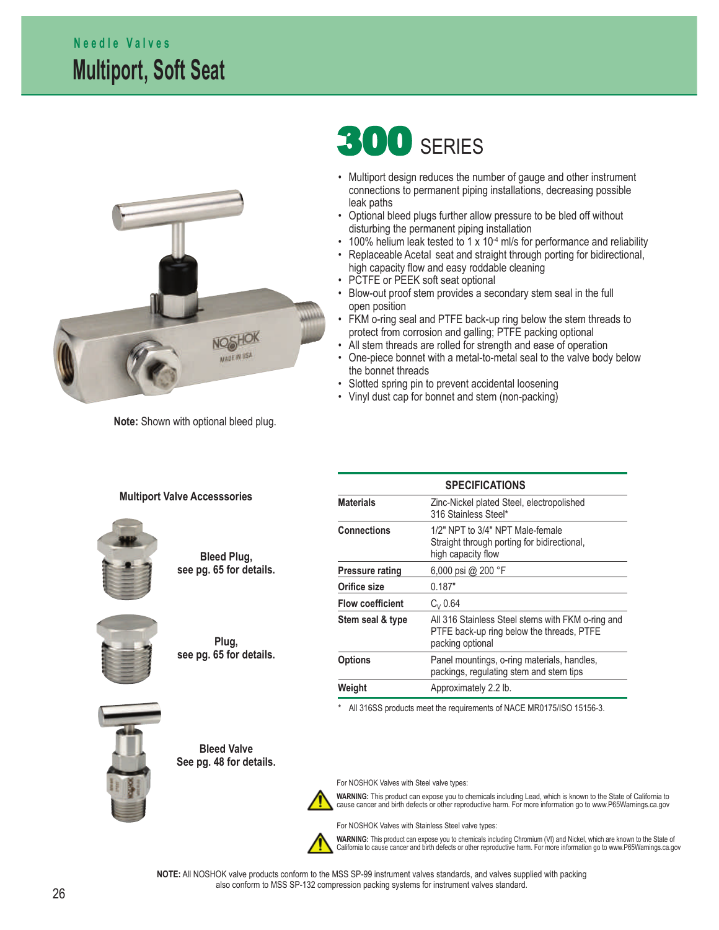## **Multiport, Soft Seat N e e d l e V a l v e s**



**Note:** Shown with optional bleed plug.

**Multiport Valve Accesssories**

# **300 SERIES**

- Multiport design reduces the number of gauge and other instrument connections to permanent piping installations, decreasing possible leak paths
- Optional bleed plugs further allow pressure to be bled off without disturbing the permanent piping installation
- 100% helium leak tested to 1 x 10<sup>-4</sup> ml/s for performance and reliability
- Replaceable Acetal seat and straight through porting for bidirectional, high capacity flow and easy roddable cleaning
- PCTFE or PEEK soft seat optional
- Blow-out proof stem provides a secondary stem seal in the full open position
- FKM o-ring seal and PTFE back-up ring below the stem threads to protect from corrosion and galling; PTFE packing optional
- All stem threads are rolled for strength and ease of operation
- One-piece bonnet with a metal-to-metal seal to the valve body below the bonnet threads

**SPECIFICATIONS**

- Slotted spring pin to prevent accidental loosening
- Vinyl dust cap for bonnet and stem (non-packing)

| Zinc-Nickel plated Steel, electropolished                                                                          |
|--------------------------------------------------------------------------------------------------------------------|
| 316 Stainless Steel*                                                                                               |
| 1/2" NPT to 3/4" NPT Male-female<br>Straight through porting for bidirectional,<br>high capacity flow              |
| 6,000 psi @ 200 °F                                                                                                 |
| 0.187"                                                                                                             |
| $C_{V}$ 0.64                                                                                                       |
| All 316 Stainless Steel stems with FKM o-ring and<br>PTFE back-up ring below the threads, PTFE<br>packing optional |
| Panel mountings, o-ring materials, handles,<br>packings, regulating stem and stem tips                             |
|                                                                                                                    |

\* All 316SS products meet the requirements of NACE MR0175/ISO 15156-3.



**Bleed Valve See pg. 48 for details.**

**Bleed Plug, see pg. 65 for details.**

**Plug, see pg. 65 for details.**

For NOSHOK Valves with Steel valve types:



**WARNING:** This product can expose you to chemicals including Lead, which is known to the State of California to cause cancer and birth defects or other reproductive harm. For more information go to www.P65Warnings.ca.gov



For NOSHOK Valves with Stainless Steel valve types:

**Weight Approximately 2.2 lb.** 

**WARNING:** This product can expose you to chemicals including Chromium (VI) and Nickel, which are known to the State of California to cause cancer and birth defects or other reproductive harm. For more information go to www.P65Warnings.ca.gov

**NOTE:** All NOSHOK valve products conform to the MSS SP-99 instrument valves standards, and valves supplied with packing also conform to MSS SP-132 compression packing systems for instrument valves standard.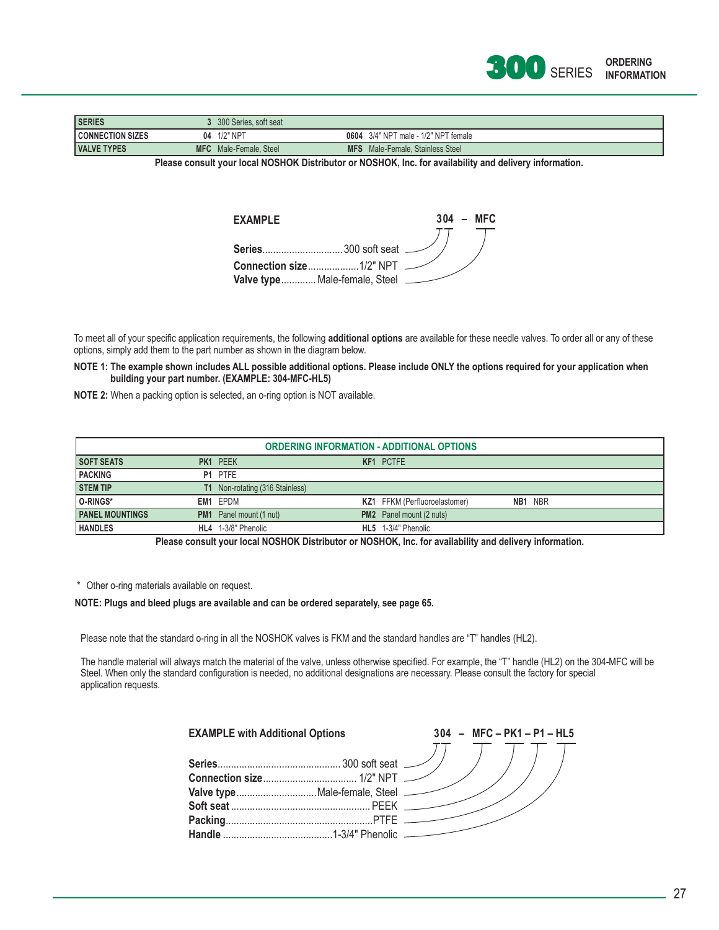

| <b>SERIES</b>           |            | 300 Series, soft seat |                                         |
|-------------------------|------------|-----------------------|-----------------------------------------|
| <b>CONNECTION SIZES</b> | 04         | 1/2" NPT              | 0604 3/4" NPT male - 1/2" NPT female    |
| <b>VALVE TYPES</b>      | <b>MFC</b> | Male-Female, Steel    | <b>MFS</b> Male-Female, Stainless Steel |

**Please consult your local NOSHOK Distributor or NOSHOK, Inc. for availability and delivery information.**

| <b>FXAMPIF</b> |                               |  | $304 - MFC$ |
|----------------|-------------------------------|--|-------------|
|                |                               |  |             |
| Series         | 300 soft seat <i>__</i>       |  |             |
|                |                               |  |             |
|                | Valve type Male-female, Steel |  |             |

To meet all of your specific application requirements, the following additional options are available for these needle valves. To order all or any of these options, simply add them to the part number as shown in the diagram below.

**NOTE 1: The example shown includes ALL possible additional options. Please include ONLY the options required for your application when building your part number. (EXAMPLE: 304-MFC-HL5)**

**NOTE 2:** When a packing option is selected, an o-ring option is NOT available.

| <b>ORDERING INFORMATION - ADDITIONAL OPTIONS</b> |     |                                        |  |                                      |  |         |
|--------------------------------------------------|-----|----------------------------------------|--|--------------------------------------|--|---------|
| <b>SOFT SEATS</b>                                |     | PK1 PEEK                               |  | <b>KF1 PCTFE</b>                     |  |         |
| <b>PACKING</b>                                   |     | P1 PTFE                                |  |                                      |  |         |
| <b>STEM TIP</b>                                  |     | <b>T1</b> Non-rotating (316 Stainless) |  |                                      |  |         |
| O-RINGS*                                         |     | EM1 EPDM                               |  | <b>KZ1</b> FFKM (Perfluoroelastomer) |  | NB1 NBR |
| <b>PANEL MOUNTINGS</b>                           | PM1 | Panel mount (1 nut)                    |  | <b>PM2</b> Panel mount (2 nuts)      |  |         |
| <b>HANDLES</b>                                   | HL4 | 1-3/8" Phenolic                        |  | HL5 1-3/4" Phenolic                  |  |         |

**Please consult your local NOSHOK Distributor or NOSHOK, Inc. for availability and delivery information.**

\* Other o-ring materials available on request.

### **NOTE: Plugs and bleed plugs are available and can be ordered separately, see page 65.**

Please note that the standard o-ring in all the NOSHOK valves is FKM and the standard handles are "T" handles (HL2).

The handle material will always match the material of the valve, unless otherwise specified. For example, the "T" handle (HL2) on the 304-MFC will be Steel. When only the standard configuration is needed, no additional designations are necessary. Please consult the factory for special application requests.

| <b>EXAMPLE with Additional Options</b> |  | $304 - MFC - PK1 - P1 - HL5$ |
|----------------------------------------|--|------------------------------|
|                                        |  |                              |
|                                        |  |                              |
|                                        |  |                              |
|                                        |  |                              |
|                                        |  |                              |
|                                        |  |                              |
|                                        |  |                              |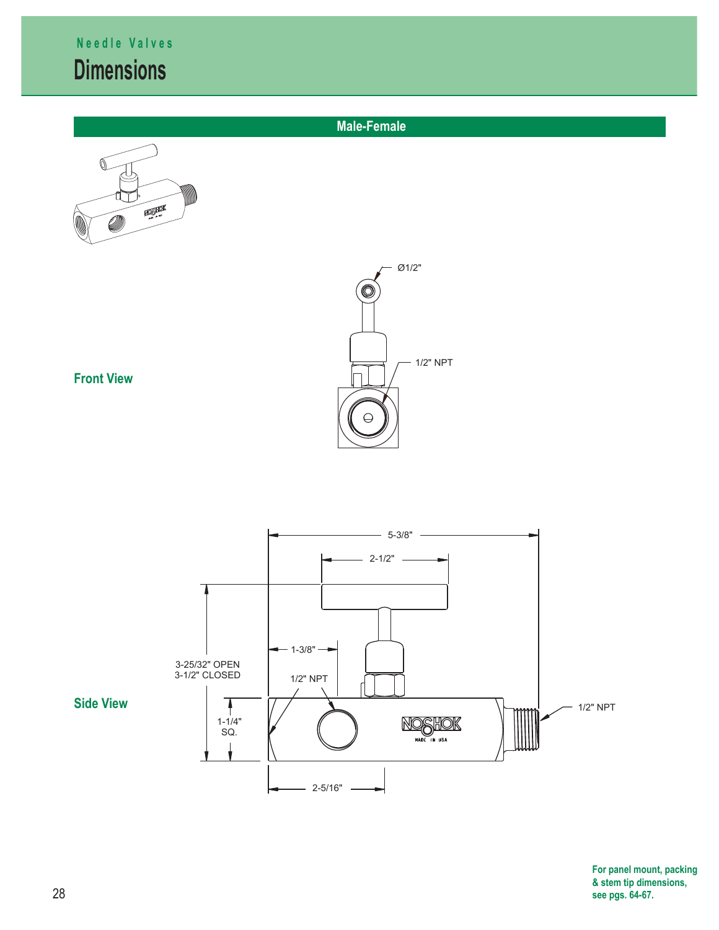## **Dimensions N e e d l e V a l v e s**

 $\begin{picture}(180,10) \put(0,0){\line(1,0){10}} \put(10,0){\line(1,0){10}} \put(10,0){\line(1,0){10}} \put(10,0){\line(1,0){10}} \put(10,0){\line(1,0){10}} \put(10,0){\line(1,0){10}} \put(10,0){\line(1,0){10}} \put(10,0){\line(1,0){10}} \put(10,0){\line(1,0){10}} \put(10,0){\line(1,0){10}} \put(10,0){\line(1,0){10}} \put(10,0){\line($ 



**Male-Female** 



**For panel mount, packing, & stem tip dimensions, see pgs. 64-67.**

**Front View**